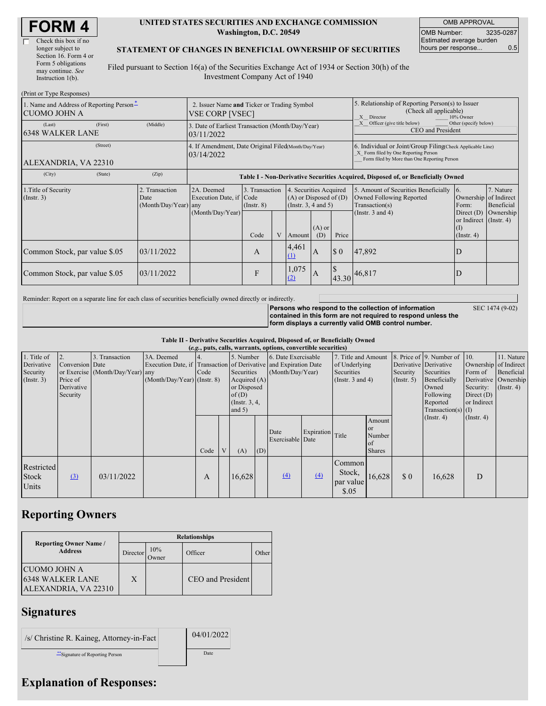| <b>FORM 4</b> |  |
|---------------|--|
|---------------|--|

| Check this box if no  |
|-----------------------|
| longer subject to     |
| Section 16. Form 4 or |
| Form 5 obligations    |
| may continue. See     |
| Instruction $1(b)$ .  |

 $(Print or True **Dom**)$ 

#### **UNITED STATES SECURITIES AND EXCHANGE COMMISSION Washington, D.C. 20549**

OMB APPROVAL OMB Number: 3235-0287 Estimated average burden hours per response... 0.5

#### **STATEMENT OF CHANGES IN BENEFICIAL OWNERSHIP OF SECURITIES**

Filed pursuant to Section 16(a) of the Securities Exchange Act of 1934 or Section 30(h) of the Investment Company Act of 1940

| $(1 \text{ min of } 1 \text{ ypc respectively})$<br>1. Name and Address of Reporting Person-<br><b>CUOMO JOHN A</b> | 2. Issuer Name and Ticker or Trading Symbol<br><b>VSE CORP [VSEC]</b> |                                                                                  |                                   |  |                                                                                   | 5. Relationship of Reporting Person(s) to Issuer<br>(Check all applicable)<br>10% Owner<br>X Director |             |                                                                                                                                                    |                                                                   |                         |  |
|---------------------------------------------------------------------------------------------------------------------|-----------------------------------------------------------------------|----------------------------------------------------------------------------------|-----------------------------------|--|-----------------------------------------------------------------------------------|-------------------------------------------------------------------------------------------------------|-------------|----------------------------------------------------------------------------------------------------------------------------------------------------|-------------------------------------------------------------------|-------------------------|--|
| (First)<br>(Last)<br><b>6348 WALKER LANE</b>                                                                        | (Middle)                                                              | 3. Date of Earliest Transaction (Month/Day/Year)<br>03/11/2022                   |                                   |  |                                                                                   |                                                                                                       |             | Officer (give title below)<br>Other (specify below)<br>CEO and President                                                                           |                                                                   |                         |  |
| (Street)<br>ALEXANDRIA, VA 22310                                                                                    |                                                                       | 4. If Amendment, Date Original Filed(Month/Day/Year)<br>03/14/2022               |                                   |  |                                                                                   |                                                                                                       |             | 6. Individual or Joint/Group Filing(Check Applicable Line)<br>X Form filed by One Reporting Person<br>Form filed by More than One Reporting Person |                                                                   |                         |  |
| (City)<br>(State)                                                                                                   | (Zip)                                                                 | Table I - Non-Derivative Securities Acquired, Disposed of, or Beneficially Owned |                                   |  |                                                                                   |                                                                                                       |             |                                                                                                                                                    |                                                                   |                         |  |
| 1. Title of Security<br>$($ Instr. 3 $)$                                                                            | 2. Transaction<br>Date<br>(Month/Day/Year)                            | 2A. Deemed<br>Execution Date, if Code<br>any                                     | 3. Transaction<br>$($ Instr. $8)$ |  | 4. Securities Acquired<br>$(A)$ or Disposed of $(D)$<br>$($ Instr. 3, 4 and 5 $)$ |                                                                                                       |             | 5. Amount of Securities Beneficially<br>Owned Following Reported<br>Transaction(s)                                                                 | 16.<br>Ownership of Indirect<br>Form:                             | 7. Nature<br>Beneficial |  |
|                                                                                                                     |                                                                       | (Month/Day/Year)                                                                 | Code                              |  | Amount                                                                            | $(A)$ or<br>(D)                                                                                       | Price       | (Instr. $3$ and $4$ )                                                                                                                              | Direct $(D)$<br>or Indirect (Instr. 4)<br>(I)<br>$($ Instr. 4 $)$ | Ownership               |  |
| Common Stock, par value \$.05                                                                                       | 03/11/2022                                                            |                                                                                  | A                                 |  | 4,461<br>(1)                                                                      | <b>IA</b>                                                                                             | $\sqrt{3}0$ | 47,892                                                                                                                                             |                                                                   |                         |  |
| Common Stock, par value \$.05                                                                                       | 03/11/2022                                                            |                                                                                  | F                                 |  | 1,075                                                                             | <b>IA</b>                                                                                             |             | 43.30 46,817                                                                                                                                       |                                                                   |                         |  |

Reminder: Report on a separate line for each class of securities beneficially owned directly or indirectly.

**Persons who respond to the collection of information contained in this form are not required to respond unless the form displays a currently valid OMB control number.**

SEC 1474 (9-02)

### **Table II - Derivative Securities Acquired, Disposed of, or Beneficially Owned**

| (e.g., puts, calls, warrants, options, convertible securities) |                                                       |                                                    |                                                                                                                 |      |  |                                                                                                  |     |                                         |                  |                                                                         |                                               |                                                    |                                                                                                                      |                                                                                                      |                                              |
|----------------------------------------------------------------|-------------------------------------------------------|----------------------------------------------------|-----------------------------------------------------------------------------------------------------------------|------|--|--------------------------------------------------------------------------------------------------|-----|-----------------------------------------|------------------|-------------------------------------------------------------------------|-----------------------------------------------|----------------------------------------------------|----------------------------------------------------------------------------------------------------------------------|------------------------------------------------------------------------------------------------------|----------------------------------------------|
| 1. Title of<br>Derivative<br>Security<br>$($ Instr. 3 $)$      | Conversion Date<br>Price of<br>Derivative<br>Security | 3. Transaction<br>or Exercise (Month/Day/Year) any | 3A. Deemed<br>Execution Date, if Transaction of Derivative and Expiration Date<br>$(Month/Day/Year)$ (Instr. 8) | Code |  | 5. Number<br>Securities<br>Acquired $(A)$<br>or Disposed<br>of(D)<br>(Instr. $3, 4,$<br>and $5)$ |     | 6. Date Exercisable<br>(Month/Day/Year) |                  | 7. Title and Amount<br>of Underlying<br>Securities<br>(Insert. 3 and 4) |                                               | Derivative Derivative<br>Security<br>$($ Instr. 5) | 8. Price of 9. Number of 10.<br>Securities<br>Beneficially<br>Owned<br>Following<br>Reported<br>$Transaction(s)$ (I) | Ownership of Indirect<br>Form of<br>Derivative Ownership<br>Security:<br>Direct $(D)$<br>or Indirect | 11. Nature<br>Beneficial<br>$($ Instr. 4 $)$ |
|                                                                |                                                       |                                                    |                                                                                                                 | Code |  | (A)                                                                                              | (D) | Date<br>Exercisable Date                | Expiration Title |                                                                         | Amount<br>or<br>Number<br>of<br><b>Shares</b> |                                                    | $($ Instr. 4 $)$                                                                                                     | $($ Instr. 4 $)$                                                                                     |                                              |
| Restricted<br>Stock<br>Units                                   | $\left( \frac{3}{2} \right)$                          | 03/11/2022                                         |                                                                                                                 | Α    |  | 16,628                                                                                           |     | $\Delta$                                | $\Delta$         | Common<br>Stock,<br>par value<br>\$.05                                  | 16,628                                        | \$0                                                | 16,628                                                                                                               | D                                                                                                    |                                              |

## **Reporting Owners**

|  |                                                                        | <b>Relationships</b> |              |                   |       |  |  |  |  |
|--|------------------------------------------------------------------------|----------------------|--------------|-------------------|-------|--|--|--|--|
|  | <b>Reporting Owner Name /</b><br><b>Address</b>                        | Director'            | 10%<br>Jwner | Officer           | Other |  |  |  |  |
|  | <b>CUOMO JOHN A</b><br><b>6348 WALKER LANE</b><br>ALEXANDRIA, VA 22310 | X                    |              | CEO and President |       |  |  |  |  |

## **Signatures**

/s/ Christine R. Kaineg, Attorney-in-Fact 04/01/2022 \*\*Signature of Reporting Person Date

# **Explanation of Responses:**